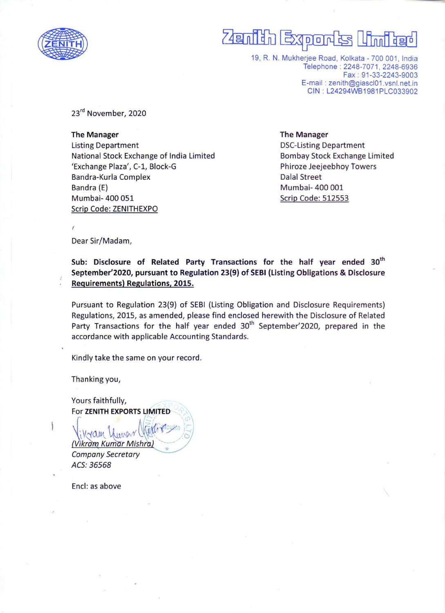

## $\overline{\phantom{a}}$  $\overline{P}$  $E$

19, R. N. Mukherjee Road, Kolkata - 700 001, India Telephone : 2248-7071, 2248-6936 Fax : 91-33-2243-9003 E-mail : zenith@giascl01.vsnI.net.in CIN : L24294WB1981PLC033902

23<sup>rd</sup> November, 2020

The Manager **The Manager** The Manager Listing Department DSC-Listing Department National Stock Exchange of India Limited Bombay Stock Exchange Limited 'Exchange Plaza', C-1, Block-G Phiroze Jeejeebhoy Towers Bandra-Kurla Complex **Dalal Street** Bandra (E) Mumbai- 400 001 Mumbai- 400 051 Scrip Code: 512553 Scrip Code: ZENITHEXPO

Dear Sir/Madam,

 $\mathbf{r}$ 

Sub: Disclosure of Related Party Transactions for the half year ended 30" September'2020, pursuant to Regulation 23(9) of SEBI (Listing Obligations & Disclosure Requirements) Regulations, 2015.

Pursuant to Regulation 23(9) of SEBI (Listing Obligation and Disclosure Requirements) Regulations, 2015, as amended, please find enclosed herewith the Disclosure of Related Party Transactions for the half year ended  $30<sup>th</sup>$  September'2020, prepared in the accordance with applicable Accounting Standards.

Kindly take the same on your record.

Thanking you,

 $N \sim \alpha$ 

Yours faithfully, For ZENITH EXPORTS LIMITED

(Vikram Kumar Mishra) Company Secretary ACS: 36568

Encl: as above